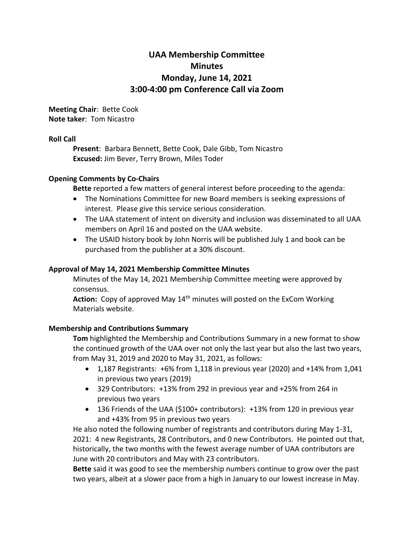# **UAA Membership Committee Minutes Monday, June 14, 2021 3:00-4:00 pm Conference Call via Zoom**

**Meeting Chair**: Bette Cook **Note taker**: Tom Nicastro

## **Roll Call**

**Present**: Barbara Bennett, Bette Cook, Dale Gibb, Tom Nicastro **Excused:** Jim Bever, Terry Brown, Miles Toder

# **Opening Comments by Co-Chairs**

**Bette** reported a few matters of general interest before proceeding to the agenda:

- The Nominations Committee for new Board members is seeking expressions of interest. Please give this service serious consideration.
- The UAA statement of intent on diversity and inclusion was disseminated to all UAA members on April 16 and posted on the UAA website.
- The USAID history book by John Norris will be published July 1 and book can be purchased from the publisher at a 30% discount.

# **Approval of May 14, 2021 Membership Committee Minutes**

Minutes of the May 14, 2021 Membership Committee meeting were approved by consensus.

Action: Copy of approved May 14<sup>th</sup> minutes will posted on the ExCom Working Materials website.

# **Membership and Contributions Summary**

**Tom** highlighted the Membership and Contributions Summary in a new format to show the continued growth of the UAA over not only the last year but also the last two years, from May 31, 2019 and 2020 to May 31, 2021, as follows:

- 1,187 Registrants: +6% from 1,118 in previous year (2020) and +14% from 1,041 in previous two years (2019)
- 329 Contributors: +13% from 292 in previous year and +25% from 264 in previous two years
- 136 Friends of the UAA (\$100+ contributors): +13% from 120 in previous year and +43% from 95 in previous two years

He also noted the following number of registrants and contributors during May 1-31, 2021: 4 new Registrants, 28 Contributors, and 0 new Contributors. He pointed out that, historically, the two months with the fewest average number of UAA contributors are June with 20 contributors and May with 23 contributors.

**Bette** said it was good to see the membership numbers continue to grow over the past two years, albeit at a slower pace from a high in January to our lowest increase in May.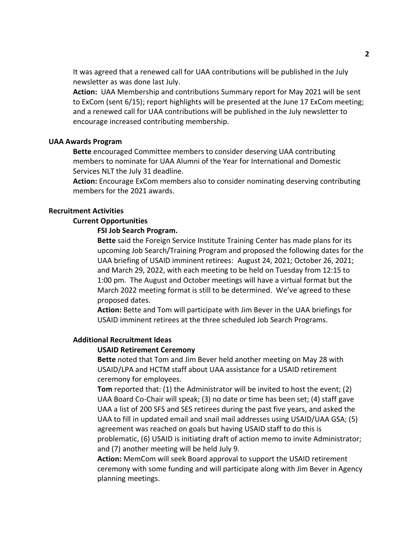It was agreed that a renewed call for UAA contributions will be published in the July newsletter as was done last July.

**Action:** UAA Membership and contributions Summary report for May 2021 will be sent to ExCom (sent 6/15); report highlights will be presented at the June 17 ExCom meeting; and a renewed call for UAA contributions will be published in the July newsletter to encourage increased contributing membership.

#### **UAA Awards Program**

**Bette** encouraged Committee members to consider deserving UAA contributing members to nominate for UAA Alumni of the Year for International and Domestic Services NLT the July 31 deadline.

**Action:** Encourage ExCom members also to consider nominating deserving contributing members for the 2021 awards.

#### **Recruitment Activities**

#### **Current Opportunities**

#### **FSI Job Search Program.**

**Bette** said the Foreign Service Institute Training Center has made plans for its upcoming Job Search/Training Program and proposed the following dates for the UAA briefing of USAID imminent retirees: August 24, 2021; October 26, 2021; and March 29, 2022, with each meeting to be held on Tuesday from 12:15 to 1:00 pm. The August and October meetings will have a virtual format but the March 2022 meeting format is still to be determined. We've agreed to these proposed dates.

**Action:** Bette and Tom will participate with Jim Bever in the UAA briefings for USAID imminent retirees at the three scheduled Job Search Programs.

## **Additional Recruitment Ideas**

## **USAID Retirement Ceremony**

**Bette** noted that Tom and Jim Bever held another meeting on May 28 with USAID/LPA and HCTM staff about UAA assistance for a USAID retirement ceremony for employees.

**Tom** reported that: (1) the Administrator will be invited to host the event; (2) UAA Board Co-Chair will speak; (3) no date or time has been set; (4) staff gave UAA a list of 200 SFS and SES retirees during the past five years, and asked the UAA to fill in updated email and snail mail addresses using USAID/UAA GSA; (5) agreement was reached on goals but having USAID staff to do this is problematic, (6) USAID is initiating draft of action memo to invite Administrator; and (7) another meeting will be held July 9.

**Action:** MemCom will seek Board approval to support the USAID retirement ceremony with some funding and will participate along with Jim Bever in Agency planning meetings.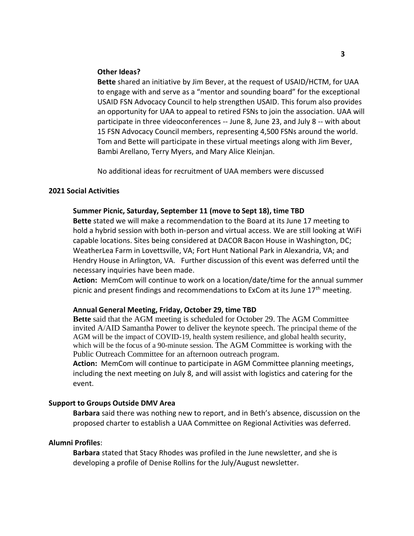#### **Other Ideas?**

**Bette** shared an initiative by Jim Bever, at the request of USAID/HCTM, for UAA to engage with and serve as a "mentor and sounding board" for the exceptional USAID FSN Advocacy Council to help strengthen USAID. This forum also provides an opportunity for UAA to appeal to retired FSNs to join the association. UAA will participate in three videoconferences -- June 8, June 23, and July 8 -- with about 15 FSN Advocacy Council members, representing 4,500 FSNs around the world. Tom and Bette will participate in these virtual meetings along with Jim Bever, Bambi Arellano, Terry Myers, and Mary Alice Kleinjan.

No additional ideas for recruitment of UAA members were discussed

#### **2021 Social Activities**

#### **Summer Picnic, Saturday, September 11 (move to Sept 18), time TBD**

**Bette** stated we will make a recommendation to the Board at its June 17 meeting to hold a hybrid session with both in-person and virtual access. We are still looking at WiFi capable locations. Sites being considered at DACOR Bacon House in Washington, DC; WeatherLea Farm in Lovettsville, VA; Fort Hunt National Park in Alexandria, VA; and Hendry House in Arlington, VA. Further discussion of this event was deferred until the necessary inquiries have been made.

**Action:** MemCom will continue to work on a location/date/time for the annual summer picnic and present findings and recommendations to ExCom at its June  $17<sup>th</sup>$  meeting.

#### **Annual General Meeting, Friday, October 29, time TBD**

**Bette** said that the AGM meeting is scheduled for October 29. The AGM Committee invited A/AID Samantha Power to deliver the keynote speech. The principal theme of the AGM will be the impact of COVID-19, health system resilience, and global health security, which will be the focus of a 90-minute session. The AGM Committee is working with the Public Outreach Committee for an afternoon outreach program.

**Action:** MemCom will continue to participate in AGM Committee planning meetings, including the next meeting on July 8, and will assist with logistics and catering for the event.

#### **Support to Groups Outside DMV Area**

**Barbara** said there was nothing new to report, and in Beth's absence, discussion on the proposed charter to establish a UAA Committee on Regional Activities was deferred.

## **Alumni Profiles**:

**Barbara** stated that Stacy Rhodes was profiled in the June newsletter, and she is developing a profile of Denise Rollins for the July/August newsletter.